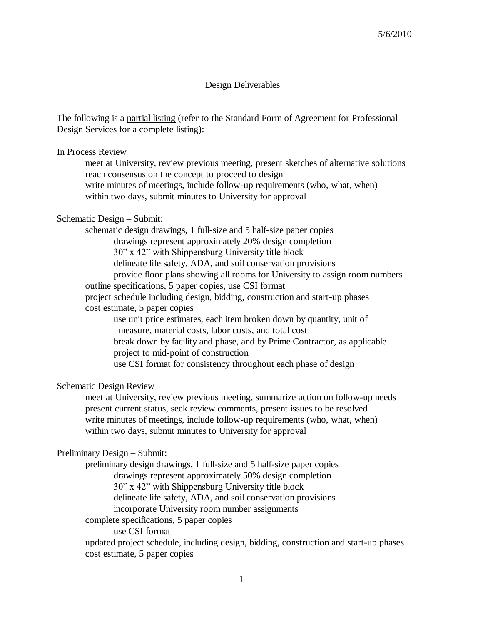# Design Deliverables

The following is a partial listing (refer to the Standard Form of Agreement for Professional Design Services for a complete listing):

In Process Review

meet at University, review previous meeting, present sketches of alternative solutions reach consensus on the concept to proceed to design write minutes of meetings, include follow-up requirements (who, what, when) within two days, submit minutes to University for approval

## Schematic Design – Submit:

schematic design drawings, 1 full-size and 5 half-size paper copies drawings represent approximately 20% design completion 30" x 42" with Shippensburg University title block delineate life safety, ADA, and soil conservation provisions provide floor plans showing all rooms for University to assign room numbers outline specifications, 5 paper copies, use CSI format project schedule including design, bidding, construction and start-up phases cost estimate, 5 paper copies use unit price estimates, each item broken down by quantity, unit of measure, material costs, labor costs, and total cost break down by facility and phase, and by Prime Contractor, as applicable project to mid-point of construction use CSI format for consistency throughout each phase of design

Schematic Design Review

meet at University, review previous meeting, summarize action on follow-up needs present current status, seek review comments, present issues to be resolved write minutes of meetings, include follow-up requirements (who, what, when) within two days, submit minutes to University for approval

## Preliminary Design – Submit:

preliminary design drawings, 1 full-size and 5 half-size paper copies drawings represent approximately 50% design completion 30" x 42" with Shippensburg University title block delineate life safety, ADA, and soil conservation provisions incorporate University room number assignments complete specifications, 5 paper copies

use CSI format

updated project schedule, including design, bidding, construction and start-up phases cost estimate, 5 paper copies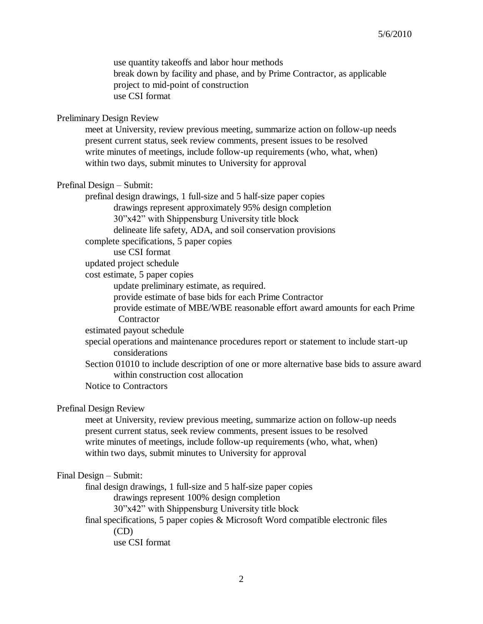use quantity takeoffs and labor hour methods break down by facility and phase, and by Prime Contractor, as applicable project to mid-point of construction use CSI format

# Preliminary Design Review

meet at University, review previous meeting, summarize action on follow-up needs present current status, seek review comments, present issues to be resolved write minutes of meetings, include follow-up requirements (who, what, when) within two days, submit minutes to University for approval

## Prefinal Design – Submit:

prefinal design drawings, 1 full-size and 5 half-size paper copies drawings represent approximately 95% design completion 30"x42" with Shippensburg University title block delineate life safety, ADA, and soil conservation provisions complete specifications, 5 paper copies

use CSI format

updated project schedule

cost estimate, 5 paper copies

update preliminary estimate, as required.

provide estimate of base bids for each Prime Contractor

provide estimate of MBE/WBE reasonable effort award amounts for each Prime **Contractor** 

estimated payout schedule

- special operations and maintenance procedures report or statement to include start-up considerations
- Section 01010 to include description of one or more alternative base bids to assure award within construction cost allocation

Notice to Contractors

# Prefinal Design Review

meet at University, review previous meeting, summarize action on follow-up needs present current status, seek review comments, present issues to be resolved write minutes of meetings, include follow-up requirements (who, what, when) within two days, submit minutes to University for approval

### Final Design – Submit:

final design drawings, 1 full-size and 5 half-size paper copies

drawings represent 100% design completion

30"x42" with Shippensburg University title block

final specifications, 5 paper copies & Microsoft Word compatible electronic files

(CD)

use CSI format